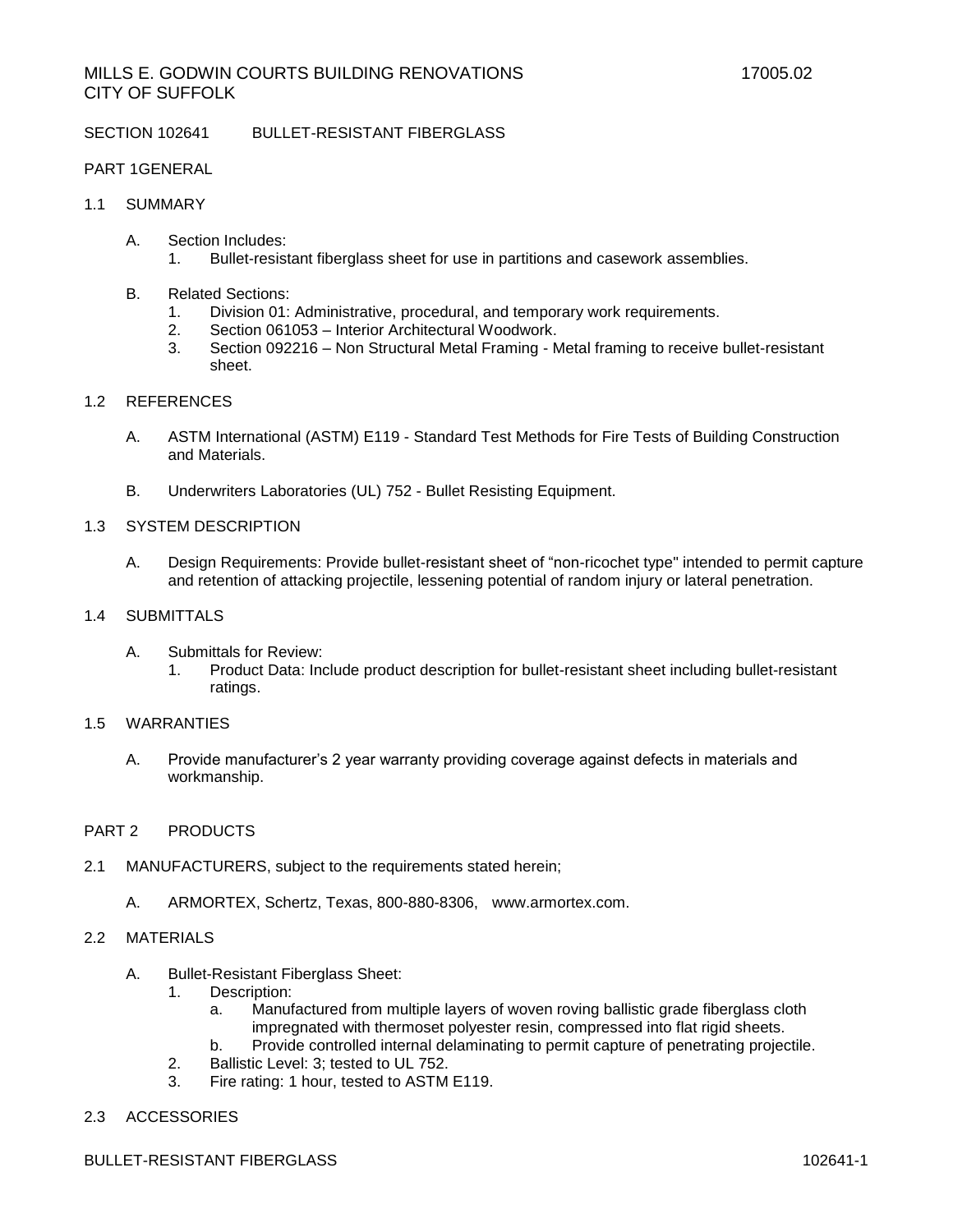SECTION 102641 BULLET-RESISTANT FIBERGLASS

### PART 1GENERAL

# 1.1 SUMMARY

- A. Section Includes:
	- 1. Bullet-resistant fiberglass sheet for use in partitions and casework assemblies.
- B. Related Sections:
	- 1. Division 01: Administrative, procedural, and temporary work requirements.
	- 2. Section 061053 Interior Architectural Woodwork.
	- 3. Section 092216 Non Structural Metal Framing Metal framing to receive bullet-resistant sheet.

# 1.2 REFERENCES

- A. ASTM International (ASTM) E119 Standard Test Methods for Fire Tests of Building Construction and Materials.
- B. Underwriters Laboratories (UL) 752 Bullet Resisting Equipment.

#### 1.3 SYSTEM DESCRIPTION

- A. Design Requirements: Provide bullet-resistant sheet of "non-ricochet type" intended to permit capture and retention of attacking projectile, lessening potential of random injury or lateral penetration.
- 1.4 SUBMITTALS
	- A. Submittals for Review:
		- 1. Product Data: Include product description for bullet-resistant sheet including bullet-resistant ratings.

#### 1.5 WARRANTIES

A. Provide manufacturer's 2 year warranty providing coverage against defects in materials and workmanship.

# PART 2 PRODUCTS

- 2.1 MANUFACTURERS, subject to the requirements stated herein;
	- A. ARMORTEX, Schertz, Texas, 800-880-8306, [www.armortex.com.](http://www.armortex.com/)

### 2.2 MATERIALS

- A. Bullet-Resistant Fiberglass Sheet:
	- 1. Description:
		- a. Manufactured from multiple layers of woven roving ballistic grade fiberglass cloth impregnated with thermoset polyester resin, compressed into flat rigid sheets.
		- b. Provide controlled internal delaminating to permit capture of penetrating projectile.
	- 2. Ballistic Level: 3; tested to UL 752.
	- 3. Fire rating: 1 hour, tested to ASTM E119.
- 2.3 ACCESSORIES